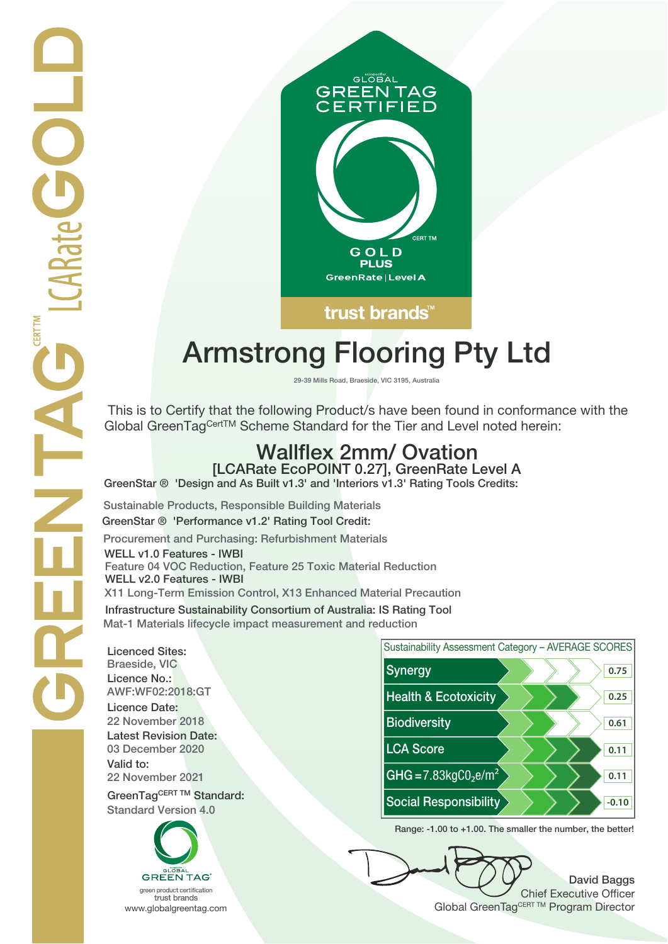

# **Armstrong Flooring Pty Ltd**

**29-39 Mills Road, Braeside, VIC 3195, Australia**

 This is to Certify that the following Product/s have been found in conformance with the Global GreenTagCertTM Scheme Standard for the Tier and Level noted herein:

## **Wallflex 2mm/ Ovation**

**[LCARate EcoPOINT 0.27], GreenRate Level A GreenStar ® 'Design and As Built v1.3' and 'Interiors v1.3' Rating Tools Credits:**

**Sustainable Products, Responsible Building Materials GreenStar ® 'Performance v1.2' Rating Tool Credit: Procurement and Purchasing: Refurbishment Materials WELL v1.0 Features - IWBI Feature 04 VOC Reduction, Feature 25 Toxic Material Reduction WELL v2.0 Features - IWBI X11 Long-Term Emission Control, X13 Enhanced Material Precaution Infrastructure Sustainability Consortium of Australia: IS Rating Tool**

**Mat-1 Materials lifecycle impact measurement and reduction**

**Licenced Sites: Licence No.: Licence Date: Latest Revision Date: Valid to:**

**Standard Version 4.0**





**Range: -1.00 to +1.00. The smaller the number, the better!**

**David Baggs** Chief Executive Officer WWW.globalgreentag.com **Program Director** Clobal GreenTagCERT TM Program Director